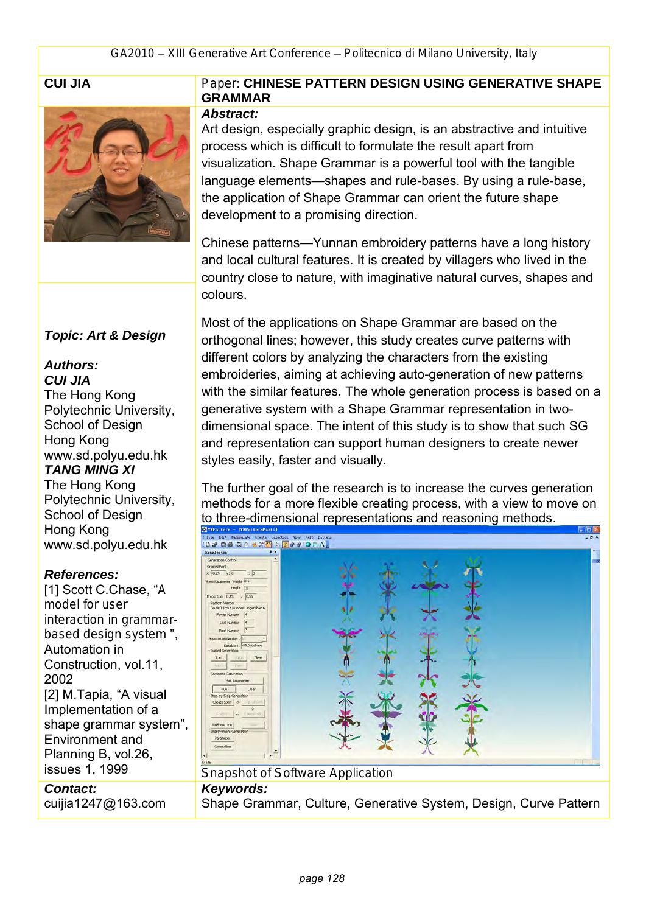

## *Topic: Art & Design*

#### *Authors: CUI JIA*

The Hong Kong Polytechnic University, School of Design Hong Kong www.sd.polyu.edu.hk *TANG MING XI* The Hong Kong Polytechnic University, School of Design Hong Kong www.sd.polyu.edu.hk

#### *References:*

[1] Scott C.Chase, "*A model for user interaction in grammarbased design system* ", Automation in Construction, vol.11, 2002 [2] M.Tapia, "A visual Implementation of a shape grammar system", Environment and Planning B, vol.26, issues 1, 1999

#### *Contact:*

cuijia1247@163.com

## **CUI JIA** *Paper:* **CHINESE PATTERN DESIGN USING GENERATIVE SHAPE GRAMMAR**

#### *Abstract:*

Art design, especially graphic design, is an abstractive and intuitive process which is difficult to formulate the result apart from visualization. Shape Grammar is a powerful tool with the tangible language elements—shapes and rule-bases. By using a rule-base, the application of Shape Grammar can orient the future shape development to a promising direction.

Chinese patterns—Yunnan embroidery patterns have a long history and local cultural features. It is created by villagers who lived in the country close to nature, with imaginative natural curves, shapes and colours.

Most of the applications on Shape Grammar are based on the orthogonal lines; however, this study creates curve patterns with different colors by analyzing the characters from the existing embroideries, aiming at achieving auto-generation of new patterns with the similar features. The whole generation process is based on a generative system with a Shape Grammar representation in twodimensional space. The intent of this study is to show that such SG and representation can support human designers to create newer styles easily, faster and visually.

The further goal of the research is to increase the curves generation methods for a more flexible creating process, with a view to move on to three-dimensional representations and reasoning methods.



*Snapshot of Software Application Keywords:* 

Shape Grammar, Culture, Generative System, Design, Curve Pattern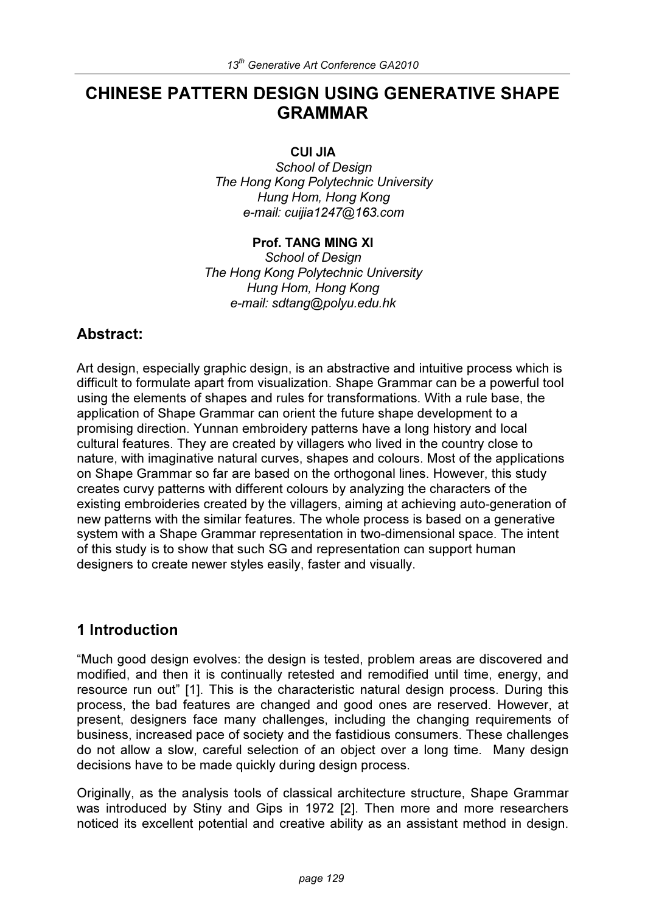# CHINESE PATTERN DESIGN USING GENERATIVE SHAPE GRAMMAR

#### CUI JIA

*School of Design The Hong Kong Polytechnic University Hung Hom, Hong Kong e-mail: cuijia1247@163.com* 

#### Prof. TANG MING XI

*School of Design The Hong Kong Polytechnic University Hung Hom, Hong Kong e-mail: sdtang@polyu.edu.hk* 

## Abstract:

Art design, especially graphic design, is an abstractive and intuitive process which is difficult to formulate apart from visualization. Shape Grammar can be a powerful tool using the elements of shapes and rules for transformations. With a rule base, the application of Shape Grammar can orient the future shape development to a promising direction. Yunnan embroidery patterns have a long history and local cultural features. They are created by villagers who lived in the country close to nature, with imaginative natural curves, shapes and colours. Most of the applications on Shape Grammar so far are based on the orthogonal lines. However, this study creates curvy patterns with different colours by analyzing the characters of the existing embroideries created by the villagers, aiming at achieving auto-generation of new patterns with the similar features. The whole process is based on a generative system with a Shape Grammar representation in two-dimensional space. The intent of this study is to show that such SG and representation can support human designers to create newer styles easily, faster and visually.

## 1 Introduction

"Much good design evolves: the design is tested, problem areas are discovered and modified, and then it is continually retested and remodified until time, energy, and resource run out" [1]. This is the characteristic natural design process. During this process, the bad features are changed and good ones are reserved. However, at present, designers face many challenges, including the changing requirements of business, increased pace of society and the fastidious consumers. These challenges do not allow a slow, careful selection of an object over a long time. Many design decisions have to be made quickly during design process.

Originally, as the analysis tools of classical architecture structure, Shape Grammar was introduced by Stiny and Gips in 1972 [2]. Then more and more researchers noticed its excellent potential and creative ability as an assistant method in design.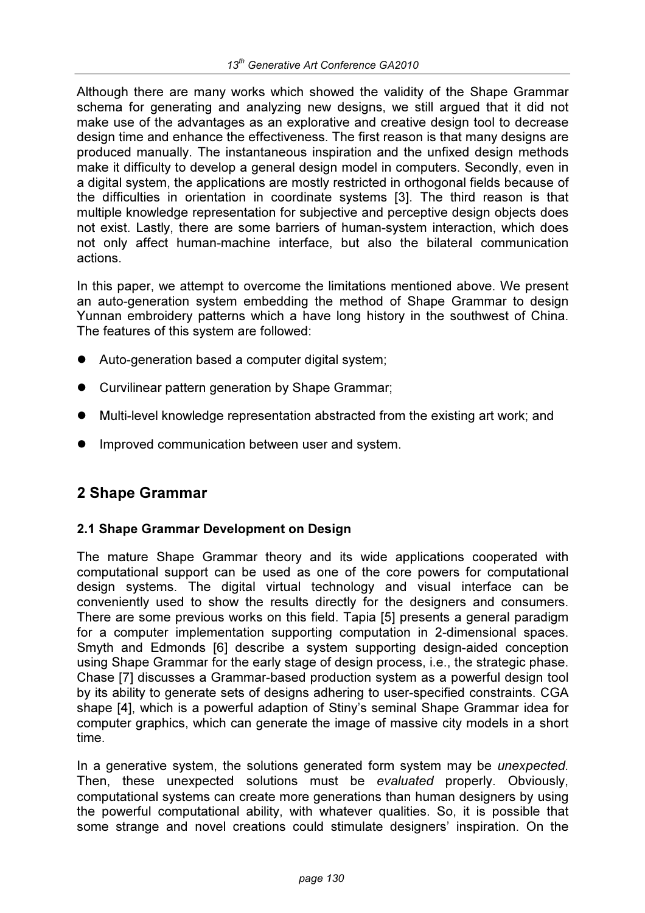Although there are many works which showed the validity of the Shape Grammar schema for generating and analyzing new designs, we still argued that it did not make use of the advantages as an explorative and creative design tool to decrease design time and enhance the effectiveness. The first reason is that many designs are produced manually. The instantaneous inspiration and the unfixed design methods make it difficulty to develop a general design model in computers. Secondly, even in a digital system, the applications are mostly restricted in orthogonal fields because of the difficulties in orientation in coordinate systems [3]. The third reason is that multiple knowledge representation for subjective and perceptive design objects does not exist. Lastly, there are some barriers of human-system interaction, which does not only affect human-machine interface, but also the bilateral communication actions.

In this paper, we attempt to overcome the limitations mentioned above. We present an auto-generation system embedding the method of Shape Grammar to design Yunnan embroidery patterns which a have long history in the southwest of China. The features of this system are followed:

- Auto-generation based a computer digital system;
- **Curvilinear pattern generation by Shape Grammar;**
- Multi-level knowledge representation abstracted from the existing art work; and
- **•** Improved communication between user and system.

## 2 Shape Grammar

#### 2.1 Shape Grammar Development on Design

The mature Shape Grammar theory and its wide applications cooperated with computational support can be used as one of the core powers for computational design systems. The digital virtual technology and visual interface can be conveniently used to show the results directly for the designers and consumers. There are some previous works on this field. Tapia [5] presents a general paradigm for a computer implementation supporting computation in 2-dimensional spaces. Smyth and Edmonds [6] describe a system supporting design-aided conception using Shape Grammar for the early stage of design process, i.e., the strategic phase. Chase [7] discusses a Grammar-based production system as a powerful design tool by its ability to generate sets of designs adhering to user-specified constraints. CGA shape [4], which is a powerful adaption of Stiny's seminal Shape Grammar idea for computer graphics, which can generate the image of massive city models in a short time.

In a generative system, the solutions generated form system may be *unexpected*. Then, these unexpected solutions must be *evaluated* properly. Obviously, computational systems can create more generations than human designers by using the powerful computational ability, with whatever qualities. So, it is possible that some strange and novel creations could stimulate designers' inspiration. On the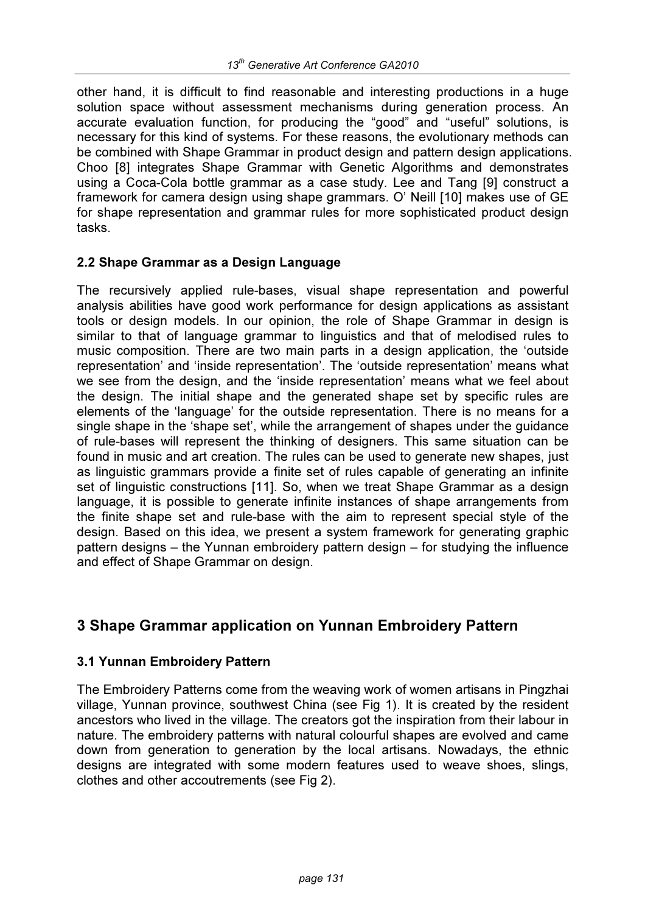other hand, it is difficult to find reasonable and interesting productions in a huge solution space without assessment mechanisms during generation process. An accurate evaluation function, for producing the "good" and "useful" solutions, is necessary for this kind of systems. For these reasons, the evolutionary methods can be combined with Shape Grammar in product design and pattern design applications. Choo [8] integrates Shape Grammar with Genetic Algorithms and demonstrates using a Coca-Cola bottle grammar as a case study. Lee and Tang [9] construct a framework for camera design using shape grammars. O' Neill [10] makes use of GE for shape representation and grammar rules for more sophisticated product design tasks.

## 2.2 Shape Grammar as a Design Language

The recursively applied rule-bases, visual shape representation and powerful analysis abilities have good work performance for design applications as assistant tools or design models. In our opinion, the role of Shape Grammar in design is similar to that of language grammar to linguistics and that of melodised rules to music composition. There are two main parts in a design application, the 'outside representation' and 'inside representation'. The 'outside representation' means what we see from the design, and the 'inside representation' means what we feel about the design. The initial shape and the generated shape set by specific rules are elements of the 'language' for the outside representation. There is no means for a single shape in the 'shape set', while the arrangement of shapes under the guidance of rule-bases will represent the thinking of designers. This same situation can be found in music and art creation. The rules can be used to generate new shapes, just as linguistic grammars provide a finite set of rules capable of generating an infinite set of linguistic constructions [11]. So, when we treat Shape Grammar as a design language, it is possible to generate infinite instances of shape arrangements from the finite shape set and rule-base with the aim to represent special style of the design. Based on this idea, we present a system framework for generating graphic pattern designs – the Yunnan embroidery pattern design – for studying the influence and effect of Shape Grammar on design.

## 3 Shape Grammar application on Yunnan Embroidery Pattern

## 3.1 Yunnan Embroidery Pattern

The Embroidery Patterns come from the weaving work of women artisans in Pingzhai village, Yunnan province, southwest China (see Fig 1). It is created by the resident ancestors who lived in the village. The creators got the inspiration from their labour in nature. The embroidery patterns with natural colourful shapes are evolved and came down from generation to generation by the local artisans. Nowadays, the ethnic designs are integrated with some modern features used to weave shoes, slings, clothes and other accoutrements (see Fig 2).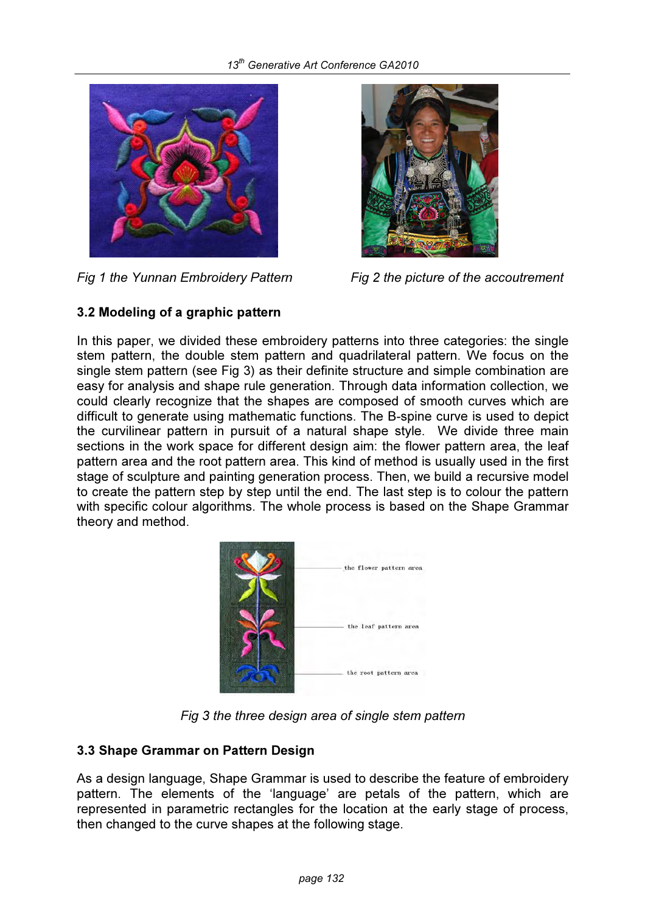

*Fig 1 the Yunnan Embroidery Pattern Fig 2 the picture of the accoutrement* 



## 3.2 Modeling of a graphic pattern

In this paper, we divided these embroidery patterns into three categories: the single stem pattern, the double stem pattern and quadrilateral pattern. We focus on the single stem pattern (see Fig 3) as their definite structure and simple combination are easy for analysis and shape rule generation. Through data information collection, we could clearly recognize that the shapes are composed of smooth curves which are difficult to generate using mathematic functions. The B-spine curve is used to depict the curvilinear pattern in pursuit of a natural shape style. We divide three main sections in the work space for different design aim: the flower pattern area, the leaf pattern area and the root pattern area. This kind of method is usually used in the first stage of sculpture and painting generation process. Then, we build a recursive model to create the pattern step by step until the end. The last step is to colour the pattern with specific colour algorithms. The whole process is based on the Shape Grammar theory and method.



*Fig 3 the three design area of single stem pattern* 

## 3.3 Shape Grammar on Pattern Design

As a design language, Shape Grammar is used to describe the feature of embroidery pattern. The elements of the 'language' are petals of the pattern, which are represented in parametric rectangles for the location at the early stage of process, then changed to the curve shapes at the following stage.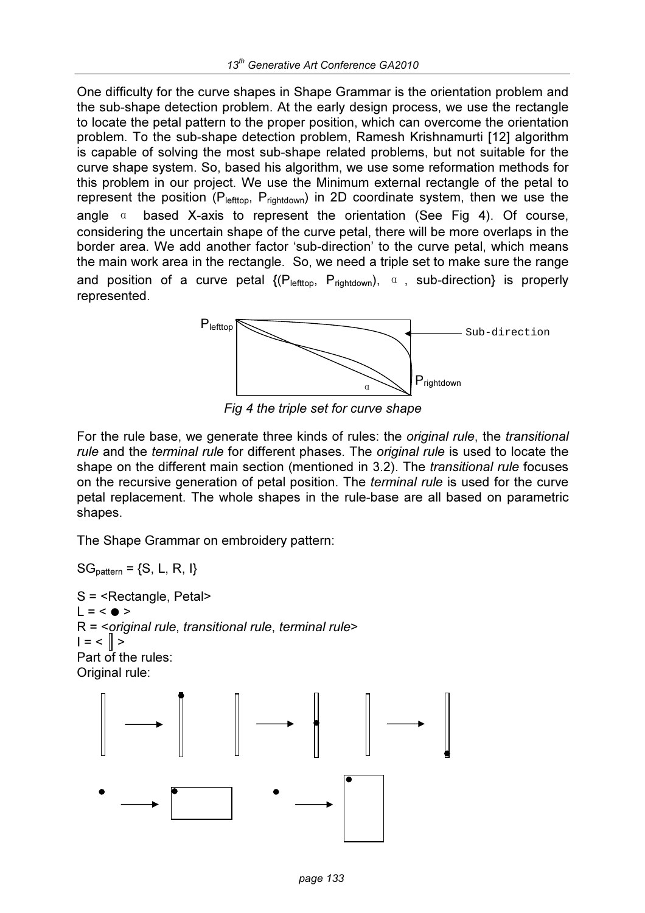One difficulty for the curve shapes in Shape Grammar is the orientation problem and the sub-shape detection problem. At the early design process, we use the rectangle to locate the petal pattern to the proper position, which can overcome the orientation problem. To the sub-shape detection problem, Ramesh Krishnamurti [12] algorithm is capable of solving the most sub-shape related problems, but not suitable for the curve shape system. So, based his algorithm, we use some reformation methods for this problem in our project. We use the Minimum external rectangle of the petal to represent the position (Plefttop, Prightdown) in 2D coordinate system, then we use the angle  $\alpha$  based X-axis to represent the orientation (See Fig 4). Of course, considering the uncertain shape of the curve petal, there will be more overlaps in the border area. We add another factor 'sub-direction' to the curve petal, which means the main work area in the rectangle. So, we need a triple set to make sure the range and position of a curve petal  $\{(\mathsf{P}_{\mathsf{lefttop}}, \ \mathsf{P}_{\mathsf{rightdown}}), \ \alpha$ , sub-direction} is properly represented.



*Fig 4 the triple set for curve shape* 

For the rule base, we generate three kinds of rules: the *original rule*, the *transitional rule* and the *terminal rule* for different phases. The *original rule* is used to locate the shape on the different main section (mentioned in 3.2). The *transitional rule* focuses on the recursive generation of petal position. The *terminal rule* is used for the curve petal replacement. The whole shapes in the rule-base are all based on parametric shapes.

The Shape Grammar on embroidery pattern:

 $SG_{pattern} = \{S, L, R, I\}$ 

S = <Rectangle, Petal>  $L = < \bullet >$ R = <*original rule*, *transitional rule*, *terminal rule*>  $= < | \rangle$ Part of the rules: Original rule:

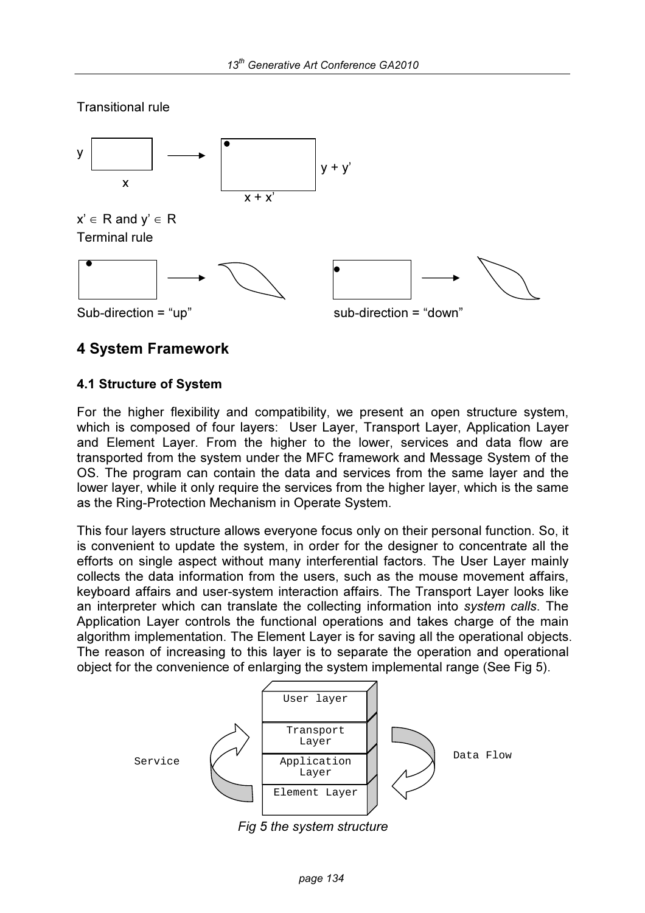Transitional rule



## 4 System Framework

## 4.1 Structure of System

For the higher flexibility and compatibility, we present an open structure system, which is composed of four layers: User Layer, Transport Layer, Application Layer and Element Layer. From the higher to the lower, services and data flow are transported from the system under the MFC framework and Message System of the OS. The program can contain the data and services from the same layer and the lower layer, while it only require the services from the higher layer, which is the same as the Ring-Protection Mechanism in Operate System.

This four layers structure allows everyone focus only on their personal function. So, it is convenient to update the system, in order for the designer to concentrate all the efforts on single aspect without many interferential factors. The User Layer mainly collects the data information from the users, such as the mouse movement affairs, keyboard affairs and user-system interaction affairs. The Transport Layer looks like an interpreter which can translate the collecting information into *system calls*. The Application Layer controls the functional operations and takes charge of the main algorithm implementation. The Element Layer is for saving all the operational objects. The reason of increasing to this layer is to separate the operation and operational object for the convenience of enlarging the system implemental range (See Fig 5).



*Fig 5 the system structure*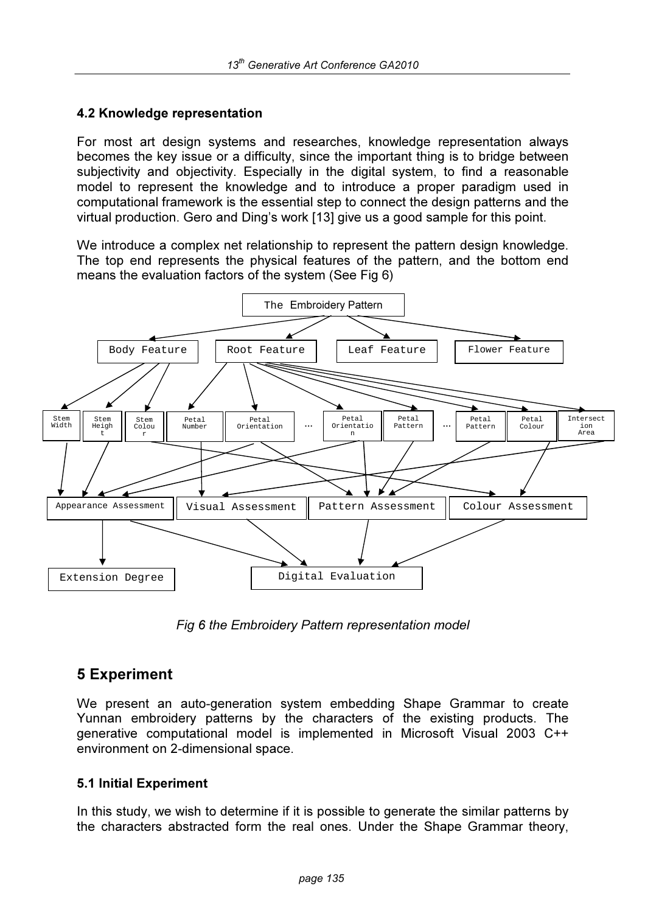## 4.2 Knowledge representation

For most art design systems and researches, knowledge representation always becomes the key issue or a difficulty, since the important thing is to bridge between subjectivity and objectivity. Especially in the digital system, to find a reasonable model to represent the knowledge and to introduce a proper paradigm used in computational framework is the essential step to connect the design patterns and the virtual production. Gero and Ding's work [13] give us a good sample for this point.

We introduce a complex net relationship to represent the pattern design knowledge. The top end represents the physical features of the pattern, and the bottom end means the evaluation factors of the system (See Fig 6)



*Fig 6 the Embroidery Pattern representation model* 

## 5 Experiment

We present an auto-generation system embedding Shape Grammar to create Yunnan embroidery patterns by the characters of the existing products. The generative computational model is implemented in Microsoft Visual 2003 C++ environment on 2-dimensional space.

#### 5.1 Initial Experiment

In this study, we wish to determine if it is possible to generate the similar patterns by the characters abstracted form the real ones. Under the Shape Grammar theory,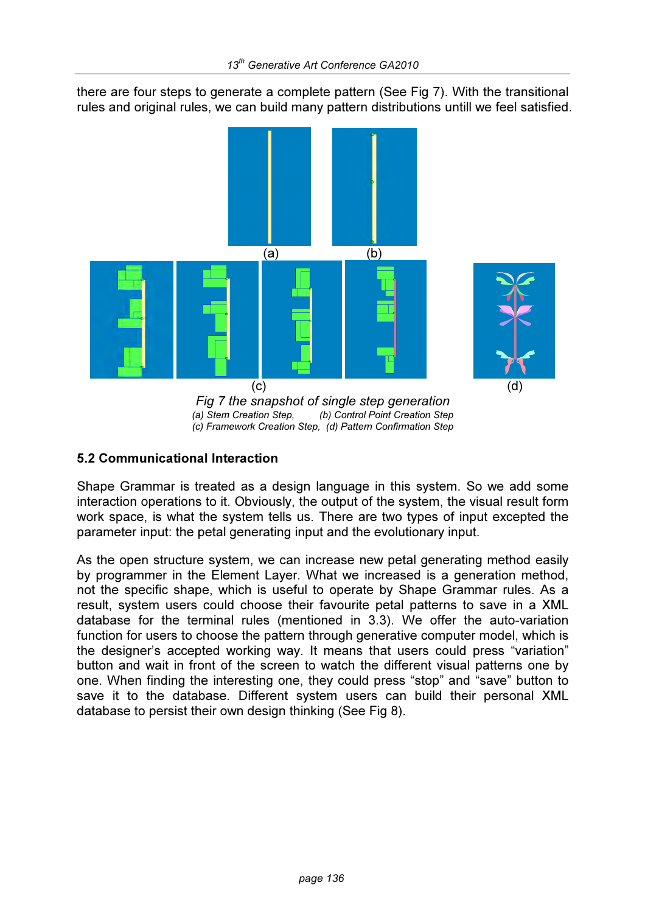there are four steps to generate a complete pattern (See Fig 7). With the transitional rules and original rules, we can build many pattern distributions untill we feel satisfied.



*Fig 7 the snapshot of single step generation*  (a) Stem Creation Step, (b) Control Point Creation Step (c) Framework Creation Step, (d) Pattern Confirmation Step

### 5.2 Communicational Interaction

Shape Grammar is treated as a design language in this system. So we add some interaction operations to it. Obviously, the output of the system, the visual result form work space, is what the system tells us. There are two types of input excepted the parameter input: the petal generating input and the evolutionary input.

As the open structure system, we can increase new petal generating method easily by programmer in the Element Layer. What we increased is a generation method, not the specific shape, which is useful to operate by Shape Grammar rules. As a result, system users could choose their favourite petal patterns to save in a XML database for the terminal rules (mentioned in 3.3). We offer the auto-variation function for users to choose the pattern through generative computer model, which is the designer's accepted working way. It means that users could press "variation" button and wait in front of the screen to watch the different visual patterns one by one. When finding the interesting one, they could press "stop" and "save" button to save it to the database. Different system users can build their personal XML database to persist their own design thinking (See Fig 8).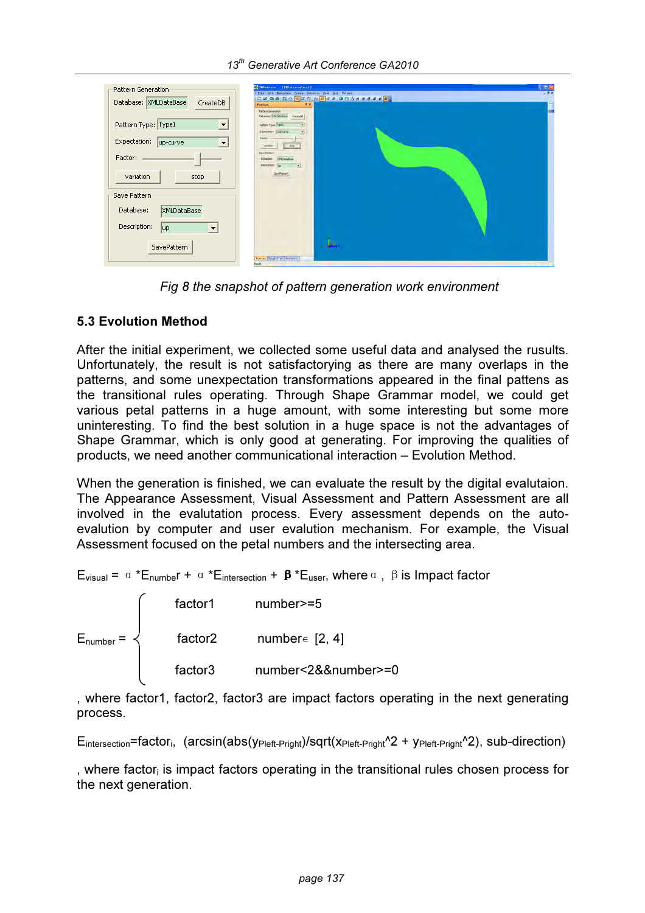| Pattern Generation<br>Database: XMLDataBase<br>CreateDB                            | Titlettern - IYM'ntternfact11<br>Eds 24t Seiphers Grate Stertin for St. Saturn<br>DE SO DO EXO A BOS O BASSESSE.<br>4x<br><b>Fattern</b><br><b>Pattern Generation</b> | $-5x$ |
|------------------------------------------------------------------------------------|-----------------------------------------------------------------------------------------------------------------------------------------------------------------------|-------|
| Pattern Type: Type1<br>$\vert$<br>Expectation:<br>up-curve<br>$\blacktriangledown$ | Database Officialism Created<br><b>Pattern Type Tope L</b><br>×<br>Eqectator: IsaFoune<br>$\left  \cdot \right $<br>Pactor:                                           |       |
| Factor:<br>variation<br>stop                                                       | dip.<br>verlation<br>Save Pattern<br><b>Database</b><br><b>SMLDataBase</b><br><b>Description:</b><br><b>No</b><br>$\blacksquare$<br>SavePattern                       |       |
| Save Pattern                                                                       |                                                                                                                                                                       |       |
| Database:<br><b>XMLDataBase</b><br>Description:<br>lup<br>$\blacktriangledown$     |                                                                                                                                                                       |       |
| SavePattern                                                                        | <b>Tuttern IngleTrm Probetion</b><br><b>Banda</b>                                                                                                                     |       |

*Fig 8 the snapshot of pattern generation work environment* 

## 5.3 Evolution Method

After the initial experiment, we collected some useful data and analysed the rusults. Unfortunately, the result is not satisfactorying as there are many overlaps in the patterns, and some unexpectation transformations appeared in the final pattens as the transitional rules operating. Through Shape Grammar model, we could get various petal patterns in a huge amount, with some interesting but some more uninteresting. To find the best solution in a huge space is not the advantages of Shape Grammar, which is only good at generating. For improving the qualities of products, we need another communicational interaction – Evolution Method.

When the generation is finished, we can evaluate the result by the digital evalutaion. The Appearance Assessment, Visual Assessment and Pattern Assessment are all involved in the evalutation process. Every assessment depends on the autoevalution by computer and user evalution mechanism. For example, the Visual Assessment focused on the petal numbers and the intersecting area.

E<sub>visual</sub> =  $\alpha$  \*E<sub>numbe</sub>r +  $\alpha$  \*E<sub>intersection</sub> +  $\beta$  \*E<sub>user</sub>, where  $\alpha$ ,  $\beta$  is Impact factor

 factor1 number>=5 E<sub>number</sub> =  $\begin{cases}$  factor2 number∈ [2, 4] factor3 number<2&&number>=0

, where factor1, factor2, factor3 are impact factors operating in the next generating process.

 $E_{intersection}$ =factor<sub>i</sub>, (arcsin(abs(y<sub>Pleft-Pright</sub>)/sqrt(x<sub>Pleft-Pright</sub><sup>2</sup> + y<sub>Pleft-Pright</sub><sup>2</sup>), sub-direction)

, where factor<sub>i</sub> is impact factors operating in the transitional rules chosen process for the next generation.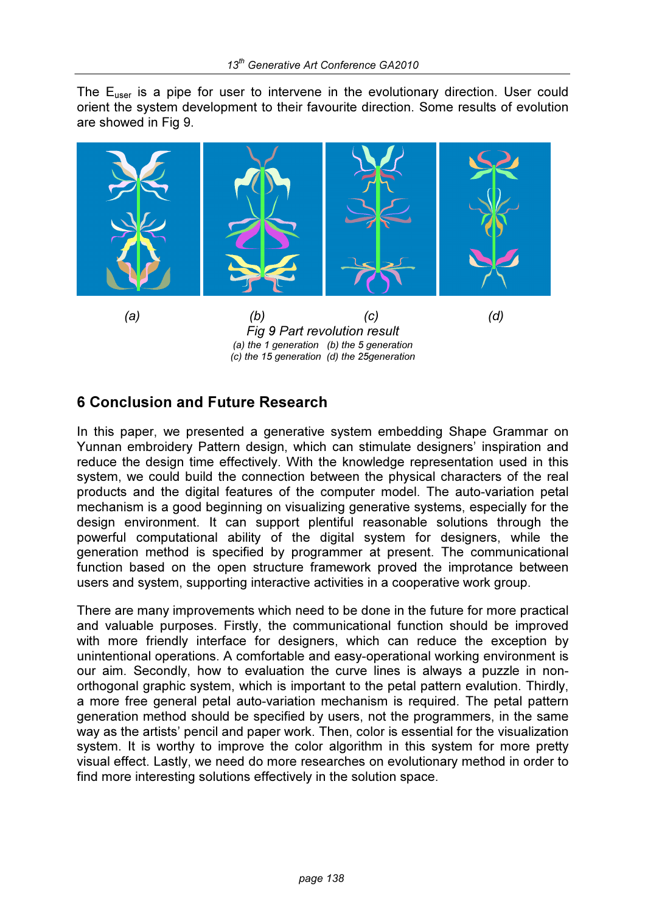The E<sub>user</sub> is a pipe for user to intervene in the evolutionary direction. User could orient the system development to their favourite direction. Some results of evolution are showed in Fig 9.



(a) the 1 generation (b) the 5 generation (c) the 15 generation (d) the 25generation

## 6 Conclusion and Future Research

In this paper, we presented a generative system embedding Shape Grammar on Yunnan embroidery Pattern design, which can stimulate designers' inspiration and reduce the design time effectively. With the knowledge representation used in this system, we could build the connection between the physical characters of the real products and the digital features of the computer model. The auto-variation petal mechanism is a good beginning on visualizing generative systems, especially for the design environment. It can support plentiful reasonable solutions through the powerful computational ability of the digital system for designers, while the generation method is specified by programmer at present. The communicational function based on the open structure framework proved the improtance between users and system, supporting interactive activities in a cooperative work group.

There are many improvements which need to be done in the future for more practical and valuable purposes. Firstly, the communicational function should be improved with more friendly interface for designers, which can reduce the exception by unintentional operations. A comfortable and easy-operational working environment is our aim. Secondly, how to evaluation the curve lines is always a puzzle in nonorthogonal graphic system, which is important to the petal pattern evalution. Thirdly, a more free general petal auto-variation mechanism is required. The petal pattern generation method should be specified by users, not the programmers, in the same way as the artists' pencil and paper work. Then, color is essential for the visualization system. It is worthy to improve the color algorithm in this system for more pretty visual effect. Lastly, we need do more researches on evolutionary method in order to find more interesting solutions effectively in the solution space.